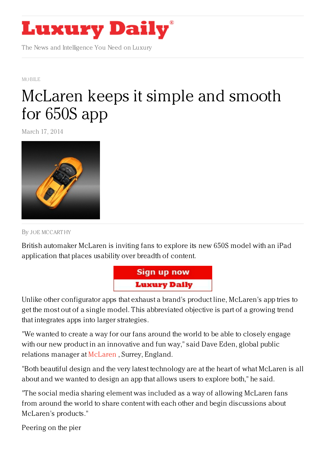

The News and Intelligence You Need on Luxury

[MOBILE](https://www.luxurydaily.com/category/news/mobile-news/)

## [McLaren](https://www.luxurydaily.com/mclaren-keeps-it-simple-and-smooth-for-650s-app/) keeps it simple and smooth for 650S app

March 17, 2014



By JOE [MCCART](/author/joe-mccarthy) HY

British automaker McLaren is inviting fans to explore its new 650S model with an iPad application that places usability over breadth of content.



Unlike other configurator apps that exhaust a brand's product line, McLaren's app tries to get the most out of a single model. This abbreviated objective is part of a growing trend that integrates apps into larger strategies.

"We wanted to create a way for our fans around the world to be able to closely engage with our new product in an innovative and fun way," said Dave Eden, global public relations manager at [McLaren](	http://www.mclarenautomotive.com) , Surrey, England.

"Both beautiful design and the very latest technology are at the heart of what McLaren is all about and we wanted to design an app that allows users to explore both," he said.

"The social media sharing element was included as a way of allowing McLaren fans from around the world to share content with each other and begin discussions about McLaren's products."

Peering on the pier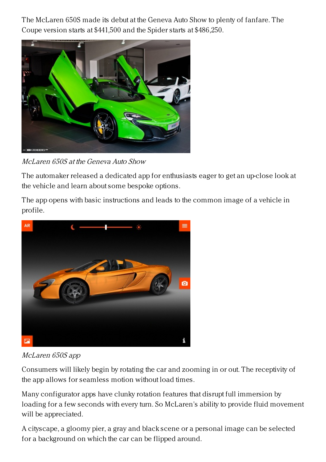The McLaren 650S made its debut at the Geneva Auto Show to plenty of fanfare. The Coupe version starts at \$441,500 and the Spider starts at \$486,250.



McLaren 650S at the Geneva Auto Show

The automaker released a dedicated app for enthusiasts eager to get an up-close look at the vehicle and learn about some bespoke options.

The app opens with basic instructions and leads to the common image of a vehicle in profile.



McLaren 650S app

Consumers will likely begin by rotating the car and zooming in or out. The receptivity of the app allows for seamless motion without load times.

Many configurator apps have clunky rotation features that disrupt full immersion by loading for a few seconds with every turn. So McLaren's ability to provide fluid movement will be appreciated.

A cityscape, a gloomy pier, a gray and black scene or a personal image can be selected for a background on which the car can be flipped around.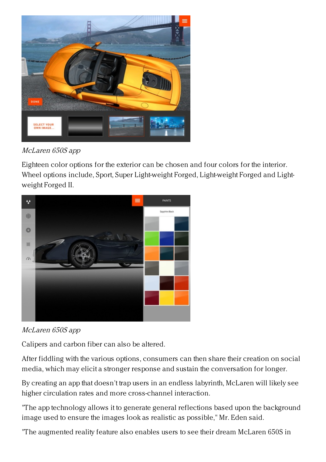

McLaren 650S app

Eighteen color options for the exterior can be chosen and four colors for the interior. Wheel options include, Sport, Super Light-weight Forged, Light-weight Forged and Lightweight Forged II.





Calipers and carbon fiber can also be altered.

After fiddling with the various options, consumers can then share their creation on social media, which may elicit a stronger response and sustain the conversation for longer.

By creating an app that doesn't trap users in an endless labyrinth, McLaren will likely see higher circulation rates and more cross-channel interaction.

"The app technology allows it to generate general reflections based upon the background image used to ensure the images look as realistic as possible," Mr. Eden said.

"The augmented reality feature also enables users to see their dream McLaren 650S in